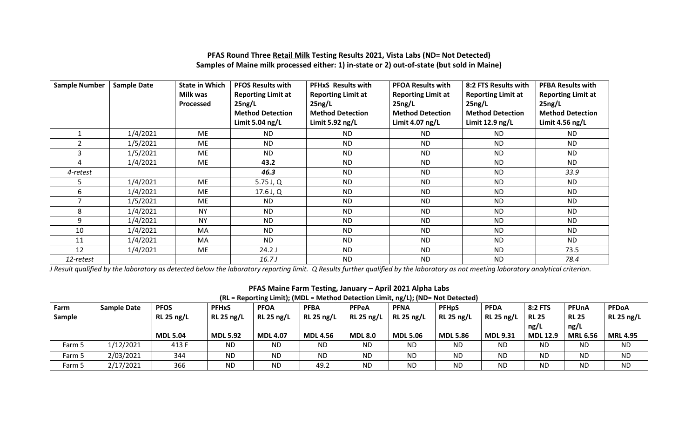## **PFAS Round Three Retail Milk Testing Results 2021, Vista Labs (ND= Not Detected) Samples of Maine milk processed either: 1) in-state or 2) out-of-state (but sold in Maine)**

| <b>Sample Number</b> | <b>Sample Date</b> | <b>State in Which</b> | <b>PFOS Results with</b>  | <b>PFHxS Results with</b>                                                           | <b>PFOA Results with</b>  | 8:2 FTS Results with      | <b>PFBA Results with</b> |
|----------------------|--------------------|-----------------------|---------------------------|-------------------------------------------------------------------------------------|---------------------------|---------------------------|--------------------------|
|                      |                    | Milk was              | <b>Reporting Limit at</b> | <b>Reporting Limit at</b><br><b>Reporting Limit at</b><br><b>Reporting Limit at</b> |                           | <b>Reporting Limit at</b> |                          |
|                      |                    | <b>Processed</b>      | 25ng/L                    | 25ng/L                                                                              | 25ng/L                    | 25ng/L                    | 25ng/L                   |
|                      |                    |                       | <b>Method Detection</b>   | <b>Method Detection</b>                                                             | <b>Method Detection</b>   | <b>Method Detection</b>   | <b>Method Detection</b>  |
|                      |                    |                       | Limit 5.04 $ng/L$         | Limit 5.92 $\frac{ng}{L}$                                                           | Limit 4.07 $\frac{ng}{L}$ | Limit 12.9 $ng/L$         | Limit 4.56 $ng/L$        |
|                      | 1/4/2021           | <b>ME</b>             | ND.                       | ND.                                                                                 | ND.                       | ND.                       | ND.                      |
|                      | 1/5/2021           | <b>ME</b>             | ND.                       | <b>ND</b>                                                                           | ND.                       | ND.                       | <b>ND</b>                |
| 3                    | 1/5/2021           | <b>ME</b>             | <b>ND</b>                 | <b>ND</b>                                                                           | ND.                       | <b>ND</b>                 | <b>ND</b>                |
| 4                    | 1/4/2021           | ME                    | 43.2                      | <b>ND</b>                                                                           | ND.                       | <b>ND</b>                 | <b>ND</b>                |
| 4-retest             |                    |                       | 46.3                      | <b>ND</b>                                                                           | <b>ND</b>                 | <b>ND</b>                 | 33.9                     |
| 5.                   | 1/4/2021           | ME                    | $5.75$ J, Q               | <b>ND</b>                                                                           | ND.                       | ND.                       | <b>ND</b>                |
| 6                    | 1/4/2021           | ME                    | 17.6 J, Q                 | <b>ND</b>                                                                           | <b>ND</b>                 | ND.                       | <b>ND</b>                |
|                      | 1/5/2021           | ME                    | <b>ND</b>                 | <b>ND</b>                                                                           | <b>ND</b>                 | ND.                       | ND.                      |
| 8                    | 1/4/2021           | <b>NY</b>             | <b>ND</b>                 | <b>ND</b>                                                                           | <b>ND</b>                 | ND.                       | <b>ND</b>                |
| 9                    | 1/4/2021           | <b>NY</b>             | <b>ND</b>                 | <b>ND</b>                                                                           | ND.                       | ND.                       | ND.                      |
| 10                   | 1/4/2021           | MA                    | <b>ND</b>                 | <b>ND</b>                                                                           | <b>ND</b>                 | <b>ND</b>                 | <b>ND</b>                |
| 11                   | 1/4/2021           | MA                    | <b>ND</b>                 | <b>ND</b>                                                                           | ND.                       | ND.                       | N <sub>D</sub>           |
| 12                   | 1/4/2021           | ME                    | 24.2J                     | <b>ND</b>                                                                           | ND.                       | <b>ND</b>                 | 73.5                     |
| 12-retest            |                    |                       | 16.7J                     | <b>ND</b>                                                                           | <b>ND</b>                 | <b>ND</b>                 | 78.4                     |

*J Result qualified by the laboratory as detected below the laboratory reporting limit. Q Results further qualified by the laboratory as not meeting laboratory analytical criterion*.

| PFAS Maine Farm Testing, January - April 2021 Alpha Labs |  |
|----------------------------------------------------------|--|
|----------------------------------------------------------|--|

|        |                    |                 |                 | $\sim$<br>.     |                 |                | .               |                 |                 |                 |                 |                 |
|--------|--------------------|-----------------|-----------------|-----------------|-----------------|----------------|-----------------|-----------------|-----------------|-----------------|-----------------|-----------------|
| Farm   | <b>Sample Date</b> | <b>PFOS</b>     | <b>PFHxS</b>    | <b>PFOA</b>     | <b>PFBA</b>     | <b>PFPeA</b>   | <b>PFNA</b>     | <b>PFHpS</b>    | <b>PFDA</b>     | <b>8:2 FTS</b>  | <b>PFUnA</b>    | <b>PFDoA</b>    |
| Sample |                    | $RL 25$ ng/L    | $RL$ 25 ng/L    | $RL$ 25 ng/L    | $RL$ 25 ng/L    | $RL 25$ ng/L   | $RL$ 25 ng/L    | $RL$ 25 ng/L    | $RL25$ ng/L     | <b>RL 25</b>    | <b>RL 25</b>    | $RL 25$ ng/L    |
|        |                    |                 |                 |                 |                 |                |                 |                 |                 | ng/L            | ng/L            |                 |
|        |                    | <b>MDL 5.04</b> | <b>MDL 5.92</b> | <b>MDL 4.07</b> | <b>MDL 4.56</b> | <b>MDL 8.0</b> | <b>MDL 5.06</b> | <b>MDL 5.86</b> | <b>MDL 9.31</b> | <b>MDL 12.9</b> | <b>MRL 6.56</b> | <b>MRL 4.95</b> |
| Farm 5 | 1/12/2021          | 413 F           | <b>ND</b>       | <b>ND</b>       | <b>ND</b>       | <b>ND</b>      | <b>ND</b>       | <b>ND</b>       | <b>ND</b>       | <b>ND</b>       | <b>ND</b>       | <b>ND</b>       |
| Farm 5 | 2/03/2021          | 344             | <b>ND</b>       | <b>ND</b>       | <b>ND</b>       | <b>ND</b>      | <b>ND</b>       | <b>ND</b>       | <b>ND</b>       | <b>ND</b>       | <b>ND</b>       | <b>ND</b>       |
| Farm 5 | 2/17/2021          | 366             | <b>ND</b>       | <b>ND</b>       | 49.2            | <b>ND</b>      | <b>ND</b>       | <b>ND</b>       | <b>ND</b>       | <b>ND</b>       | <b>ND</b>       | <b>ND</b>       |

**(RL = Reporting Limit); (MDL = Method Detection Limit, ng/L); (ND= Not Detected)**